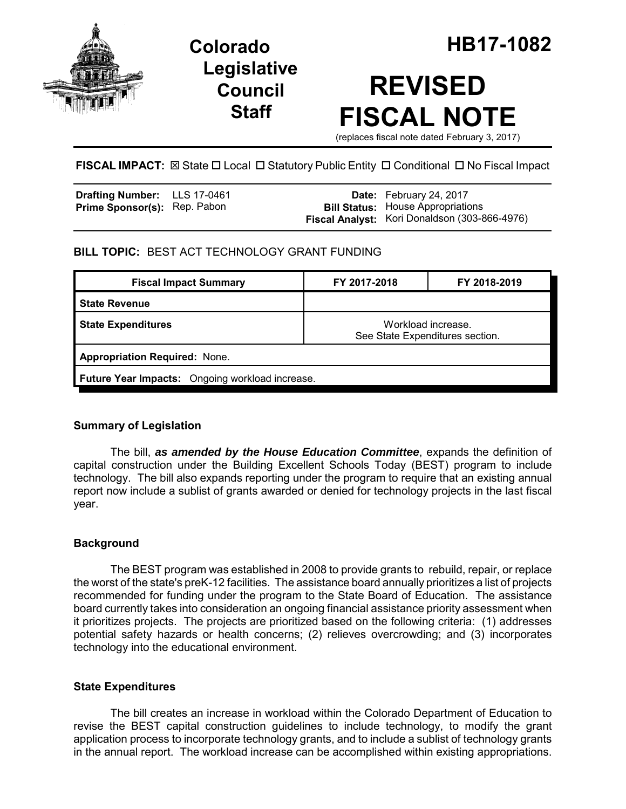

**Legislative Council Staff**

# **REVISED FISCAL NOTE**

(replaces fiscal note dated February 3, 2017)

**FISCAL IMPACT:**  $\boxtimes$  **State □ Local □ Statutory Public Entity □ Conditional □ No Fiscal Impact** 

| <b>Drafting Number:</b> LLS 17-0461 |  | <b>Date:</b> February 24, 2017                |
|-------------------------------------|--|-----------------------------------------------|
| <b>Prime Sponsor(s): Rep. Pabon</b> |  | <b>Bill Status:</b> House Appropriations      |
|                                     |  | Fiscal Analyst: Kori Donaldson (303-866-4976) |

## **BILL TOPIC:** BEST ACT TECHNOLOGY GRANT FUNDING

| <b>Fiscal Impact Summary</b>                    | FY 2017-2018                                          | FY 2018-2019 |  |  |  |
|-------------------------------------------------|-------------------------------------------------------|--------------|--|--|--|
| <b>State Revenue</b>                            |                                                       |              |  |  |  |
| <b>State Expenditures</b>                       | Workload increase.<br>See State Expenditures section. |              |  |  |  |
| <b>Appropriation Required: None.</b>            |                                                       |              |  |  |  |
| Future Year Impacts: Ongoing workload increase. |                                                       |              |  |  |  |

## **Summary of Legislation**

The bill, *as amended by the House Education Committee*, expands the definition of capital construction under the Building Excellent Schools Today (BEST) program to include technology. The bill also expands reporting under the program to require that an existing annual report now include a sublist of grants awarded or denied for technology projects in the last fiscal year.

## **Background**

The BEST program was established in 2008 to provide grants to rebuild, repair, or replace the worst of the state's preK-12 facilities. The assistance board annually prioritizes a list of projects recommended for funding under the program to the State Board of Education. The assistance board currently takes into consideration an ongoing financial assistance priority assessment when it prioritizes projects. The projects are prioritized based on the following criteria: (1) addresses potential safety hazards or health concerns; (2) relieves overcrowding; and (3) incorporates technology into the educational environment.

#### **State Expenditures**

The bill creates an increase in workload within the Colorado Department of Education to revise the BEST capital construction guidelines to include technology, to modify the grant application process to incorporate technology grants, and to include a sublist of technology grants in the annual report. The workload increase can be accomplished within existing appropriations.